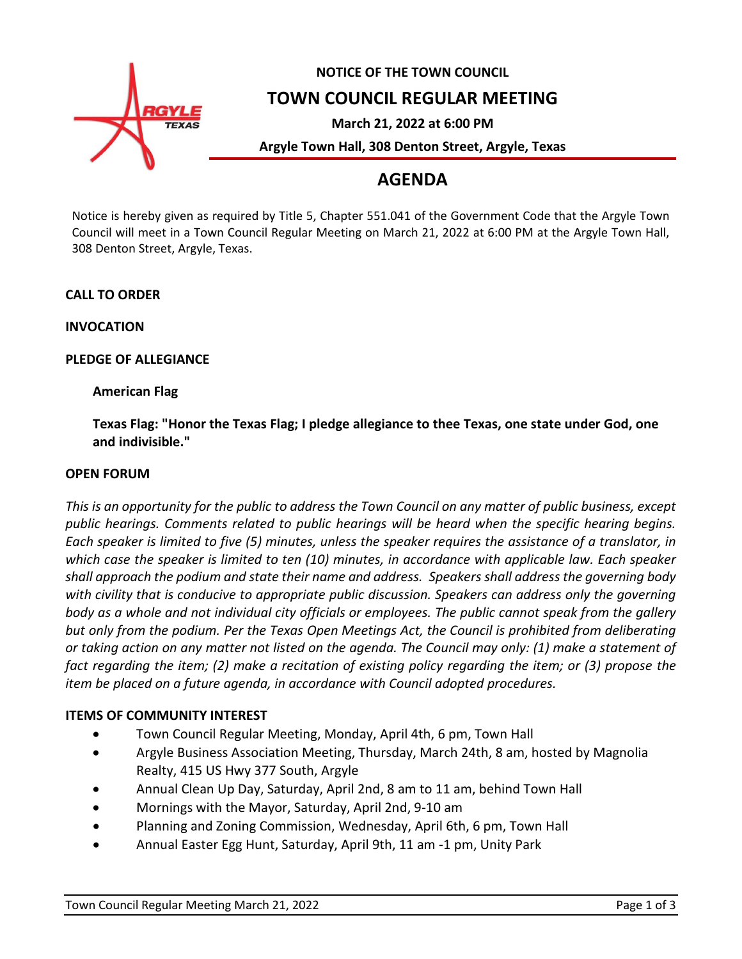

# **NOTICE OF THE TOWN COUNCIL TOWN COUNCIL REGULAR MEETING**

**March 21, 2022 at 6:00 PM**

**Argyle Town Hall, 308 Denton Street, Argyle, Texas**

# **AGENDA**

Notice is hereby given as required by Title 5, Chapter 551.041 of the Government Code that the Argyle Town Council will meet in a Town Council Regular Meeting on March 21, 2022 at 6:00 PM at the Argyle Town Hall, 308 Denton Street, Argyle, Texas.

## **CALL TO ORDER**

**INVOCATION**

## **PLEDGE OF ALLEGIANCE**

## **American Flag**

**Texas Flag: "Honor the Texas Flag; I pledge allegiance to thee Texas, one state under God, one and indivisible."**

## **OPEN FORUM**

*This is an opportunity for the public to address the Town Council on any matter of public business, except public hearings. Comments related to public hearings will be heard when the specific hearing begins. Each speaker is limited to five (5) minutes, unless the speaker requires the assistance of a translator, in which case the speaker is limited to ten (10) minutes, in accordance with applicable law. Each speaker shall approach the podium and state their name and address. Speakers shall address the governing body with civility that is conducive to appropriate public discussion. Speakers can address only the governing body as a whole and not individual city officials or employees. The public cannot speak from the gallery but only from the podium. Per the Texas Open Meetings Act, the Council is prohibited from deliberating or taking action on any matter not listed on the agenda. The Council may only: (1) make a statement of fact regarding the item; (2) make a recitation of existing policy regarding the item; or (3) propose the item be placed on a future agenda, in accordance with Council adopted procedures.*

## **ITEMS OF COMMUNITY INTEREST**

- Town Council Regular Meeting, Monday, April 4th, 6 pm, Town Hall
- Argyle Business Association Meeting, Thursday, March 24th, 8 am, hosted by Magnolia Realty, 415 US Hwy 377 South, Argyle
- Annual Clean Up Day, Saturday, April 2nd, 8 am to 11 am, behind Town Hall
- Mornings with the Mayor, Saturday, April 2nd, 9-10 am
- Planning and Zoning Commission, Wednesday, April 6th, 6 pm, Town Hall
- Annual Easter Egg Hunt, Saturday, April 9th, 11 am -1 pm, Unity Park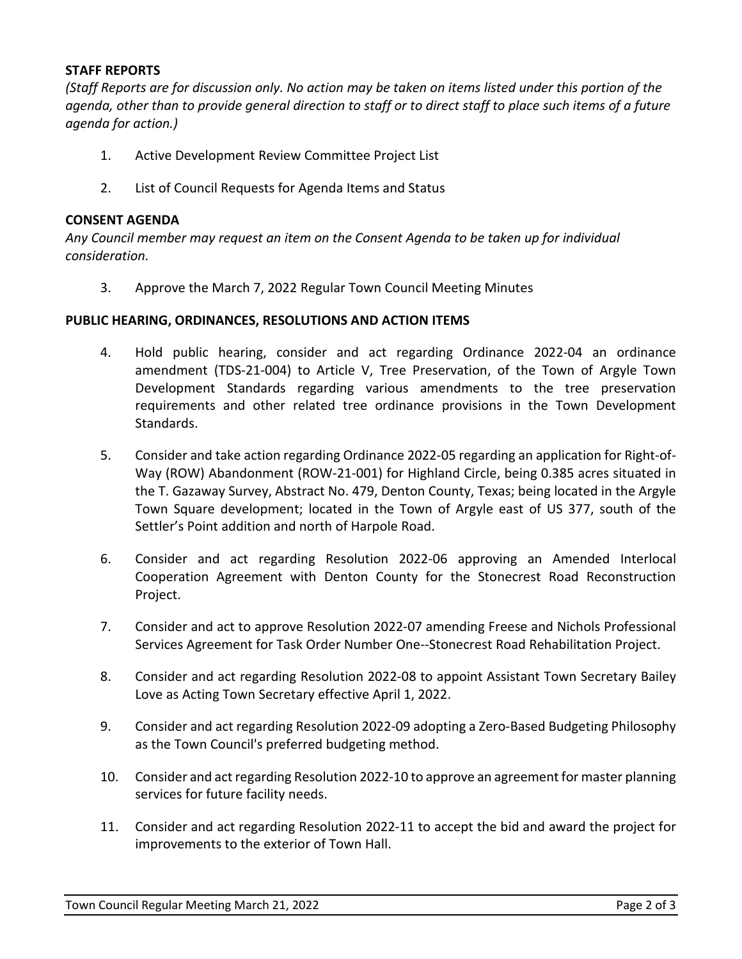## **STAFF REPORTS**

*(Staff Reports are for discussion only. No action may be taken on items listed under this portion of the agenda, other than to provide general direction to staff or to direct staff to place such items of a future agenda for action.)*

- 1. Active Development Review Committee Project List
- 2. List of Council Requests for Agenda Items and Status

#### **CONSENT AGENDA**

*Any Council member may request an item on the Consent Agenda to be taken up for individual consideration.*

3. Approve the March 7, 2022 Regular Town Council Meeting Minutes

#### **PUBLIC HEARING, ORDINANCES, RESOLUTIONS AND ACTION ITEMS**

- 4. Hold public hearing, consider and act regarding Ordinance 2022-04 an ordinance amendment (TDS-21-004) to Article V, Tree Preservation, of the Town of Argyle Town Development Standards regarding various amendments to the tree preservation requirements and other related tree ordinance provisions in the Town Development Standards.
- 5. Consider and take action regarding Ordinance 2022-05 regarding an application for Right-of-Way (ROW) Abandonment (ROW-21-001) for Highland Circle, being 0.385 acres situated in the T. Gazaway Survey, Abstract No. 479, Denton County, Texas; being located in the Argyle Town Square development; located in the Town of Argyle east of US 377, south of the Settler's Point addition and north of Harpole Road.
- 6. Consider and act regarding Resolution 2022-06 approving an Amended Interlocal Cooperation Agreement with Denton County for the Stonecrest Road Reconstruction Project.
- 7. Consider and act to approve Resolution 2022-07 amending Freese and Nichols Professional Services Agreement for Task Order Number One--Stonecrest Road Rehabilitation Project.
- 8. Consider and act regarding Resolution 2022-08 to appoint Assistant Town Secretary Bailey Love as Acting Town Secretary effective April 1, 2022.
- 9. Consider and act regarding Resolution 2022-09 adopting a Zero-Based Budgeting Philosophy as the Town Council's preferred budgeting method.
- 10. Consider and act regarding Resolution 2022-10 to approve an agreement for master planning services for future facility needs.
- 11. Consider and act regarding Resolution 2022-11 to accept the bid and award the project for improvements to the exterior of Town Hall.